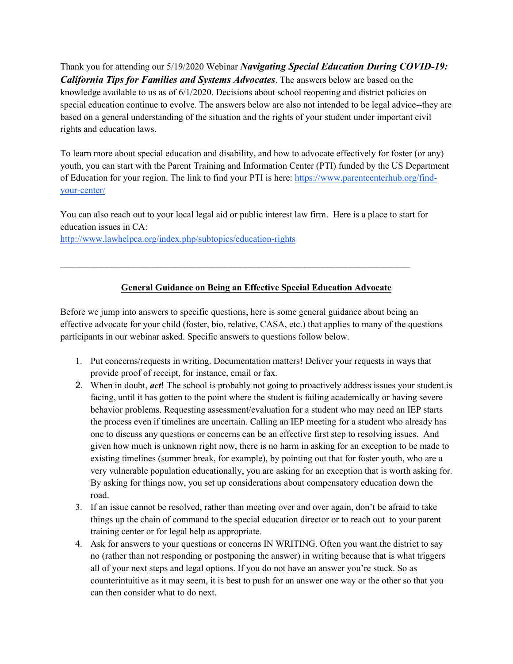Thank you for attending our 5/19/2020 Webinar *[Navigating Special Education During COVID-19:](http://centervideo.forest.usf.edu/video/qpi/ylc/navspeced/QPIstart.html)  [California Tips for Families and Systems Advocates](http://centervideo.forest.usf.edu/video/qpi/ylc/navspeced/QPIstart.html)*. The answers below are based on the knowledge available to us as of 6/1/2020. Decisions about school reopening and district policies on special education continue to evolve. The answers below are also not intended to be legal advice--they are based on a general understanding of the situation and the rights of your student under important civil rights and education laws.

To learn more about special education and disability, and how to advocate effectively for foster (or any) youth, you can start with the Parent Training and Information Center (PTI) funded by the US Department of Education for your region. The link to find your PTI is here: [https://www.parentcenterhub.org/find](https://www.parentcenterhub.org/find-your-center/)[your-center/](https://www.parentcenterhub.org/find-your-center/)

You can also reach out to your local legal aid or public interest law firm. Here is a place to start for education issues in CA:

\_\_\_\_\_\_\_\_\_\_\_\_\_\_\_\_\_\_\_\_\_\_\_\_\_\_\_\_\_\_\_\_\_\_\_\_\_\_\_\_\_\_\_\_\_\_\_\_\_\_\_\_\_\_\_\_\_\_\_\_\_\_\_\_\_\_\_\_\_\_\_\_\_\_\_\_

<http://www.lawhelpca.org/index.php/subtopics/education-rights>

## **General Guidance on Being an Effective Special Education Advocate**

Before we jump into answers to specific questions, here is some general guidance about being an effective advocate for your child (foster, bio, relative, CASA, etc.) that applies to many of the questions participants in our webinar asked. Specific answers to questions follow below.

- 1. Put concerns/requests in writing. Documentation matters! Deliver your requests in ways that provide proof of receipt, for instance, email or fax.
- 2. When in doubt, *act*! The school is probably not going to proactively address issues your student is facing, until it has gotten to the point where the student is failing academically or having severe behavior problems. Requesting assessment/evaluation for a student who may need an IEP starts the process even if timelines are uncertain. Calling an IEP meeting for a student who already has one to discuss any questions or concerns can be an effective first step to resolving issues. And given how much is unknown right now, there is no harm in asking for an exception to be made to existing timelines (summer break, for example), by pointing out that for foster youth, who are a very vulnerable population educationally, you are asking for an exception that is worth asking for. By asking for things now, you set up considerations about compensatory education down the road.
- 3. If an issue cannot be resolved, rather than meeting over and over again, don't be afraid to take things up the chain of command to the special education director or to reach out to your parent training center or for legal help as appropriate.
- 4. Ask for answers to your questions or concerns IN WRITING. Often you want the district to say no (rather than not responding or postponing the answer) in writing because that is what triggers all of your next steps and legal options. If you do not have an answer you're stuck. So as counterintuitive as it may seem, it is best to push for an answer one way or the other so that you can then consider what to do next.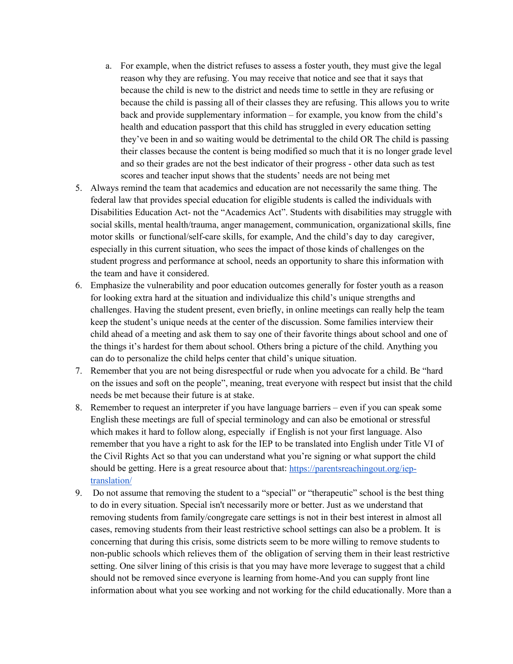- a. For example, when the district refuses to assess a foster youth, they must give the legal reason why they are refusing. You may receive that notice and see that it says that because the child is new to the district and needs time to settle in they are refusing or because the child is passing all of their classes they are refusing. This allows you to write back and provide supplementary information – for example, you know from the child's health and education passport that this child has struggled in every education setting they've been in and so waiting would be detrimental to the child OR The child is passing their classes because the content is being modified so much that it is no longer grade level and so their grades are not the best indicator of their progress - other data such as test scores and teacher input shows that the students' needs are not being met
- 5. Always remind the team that academics and education are not necessarily the same thing. The federal law that provides special education for eligible students is called the individuals with Disabilities Education Act- not the "Academics Act". Students with disabilities may struggle with social skills, mental health/trauma, anger management, communication, organizational skills, fine motor skills or functional/self-care skills, for example, And the child's day to day caregiver, especially in this current situation, who sees the impact of those kinds of challenges on the student progress and performance at school, needs an opportunity to share this information with the team and have it considered.
- 6. Emphasize the vulnerability and poor education outcomes generally for foster youth as a reason for looking extra hard at the situation and individualize this child's unique strengths and challenges. Having the student present, even briefly, in online meetings can really help the team keep the student's unique needs at the center of the discussion. Some families interview their child ahead of a meeting and ask them to say one of their favorite things about school and one of the things it's hardest for them about school. Others bring a picture of the child. Anything you can do to personalize the child helps center that child's unique situation.
- 7. Remember that you are not being disrespectful or rude when you advocate for a child. Be "hard on the issues and soft on the people", meaning, treat everyone with respect but insist that the child needs be met because their future is at stake.
- 8. Remember to request an interpreter if you have language barriers even if you can speak some English these meetings are full of special terminology and can also be emotional or stressful which makes it hard to follow along, especially if English is not your first language. Also remember that you have a right to ask for the IEP to be translated into English under Title VI of the Civil Rights Act so that you can understand what you're signing or what support the child should be getting. Here is a great resource about that: [https://parentsreachingout.org/iep](https://parentsreachingout.org/iep-translation/)[translation/](https://parentsreachingout.org/iep-translation/)
- 9. Do not assume that removing the student to a "special" or "therapeutic" school is the best thing to do in every situation. Special isn't necessarily more or better. Just as we understand that removing students from family/congregate care settings is not in their best interest in almost all cases, removing students from their least restrictive school settings can also be a problem. It is concerning that during this crisis, some districts seem to be more willing to remove students to non-public schools which relieves them of the obligation of serving them in their least restrictive setting. One silver lining of this crisis is that you may have more leverage to suggest that a child should not be removed since everyone is learning from home-And you can supply front line information about what you see working and not working for the child educationally. More than a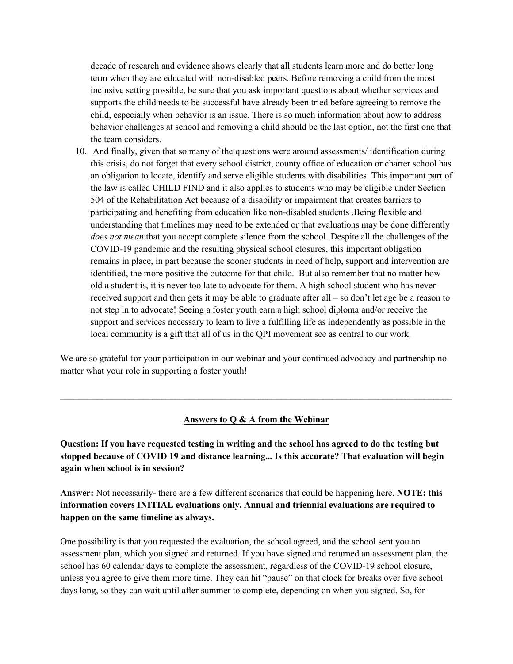decade of research and evidence shows clearly that all students learn more and do better long term when they are educated with non-disabled peers. Before removing a child from the most inclusive setting possible, be sure that you ask important questions about whether services and supports the child needs to be successful have already been tried before agreeing to remove the child, especially when behavior is an issue. There is so much information about how to address behavior challenges at school and removing a child should be the last option, not the first one that the team considers.

10. And finally, given that so many of the questions were around assessments/ identification during this crisis, do not forget that every school district, county office of education or charter school has an obligation to locate, identify and serve eligible students with disabilities. This important part of the law is called CHILD FIND and it also applies to students who may be eligible under Section 504 of the Rehabilitation Act because of a disability or impairment that creates barriers to participating and benefiting from education like non-disabled students .Being flexible and understanding that timelines may need to be extended or that evaluations may be done differently *does not mean* that you accept complete silence from the school. Despite all the challenges of the COVID-19 pandemic and the resulting physical school closures, this important obligation remains in place, in part because the sooner students in need of help, support and intervention are identified, the more positive the outcome for that child. But also remember that no matter how old a student is, it is never too late to advocate for them. A high school student who has never received support and then gets it may be able to graduate after all – so don't let age be a reason to not step in to advocate! Seeing a foster youth earn a high school diploma and/or receive the support and services necessary to learn to live a fulfilling life as independently as possible in the local community is a gift that all of us in the QPI movement see as central to our work.

We are so grateful for your participation in our webinar and your continued advocacy and partnership no matter what your role in supporting a foster youth!

#### **Answers to Q & A from the Webinar**

 $\_$  , and the set of the set of the set of the set of the set of the set of the set of the set of the set of the set of the set of the set of the set of the set of the set of the set of the set of the set of the set of th

**Question: If you have requested testing in writing and the school has agreed to do the testing but stopped because of COVID 19 and distance learning... Is this accurate? That evaluation will begin again when school is in session?**

**Answer:** Not necessarily- there are a few different scenarios that could be happening here. **NOTE: this information covers INITIAL evaluations only. Annual and triennial evaluations are required to happen on the same timeline as always.**

One possibility is that you requested the evaluation, the school agreed, and the school sent you an assessment plan, which you signed and returned. If you have signed and returned an assessment plan, the school has 60 calendar days to complete the assessment, regardless of the COVID-19 school closure, unless you agree to give them more time. They can hit "pause" on that clock for breaks over five school days long, so they can wait until after summer to complete, depending on when you signed. So, for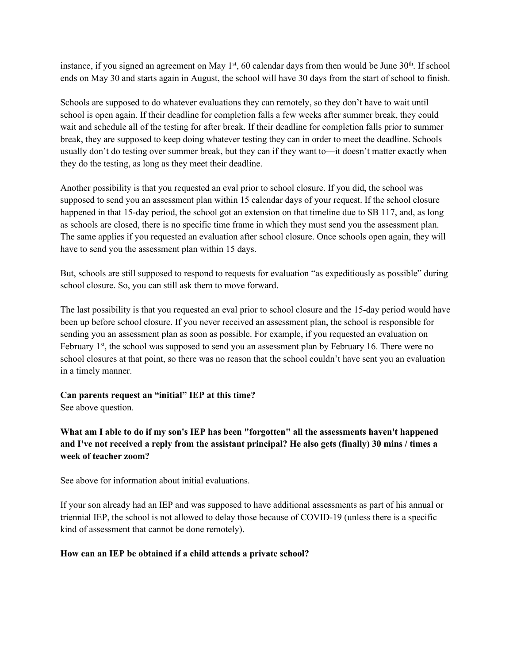instance, if you signed an agreement on May  $1<sup>st</sup>$ , 60 calendar days from then would be June  $30<sup>th</sup>$ . If school ends on May 30 and starts again in August, the school will have 30 days from the start of school to finish.

Schools are supposed to do whatever evaluations they can remotely, so they don't have to wait until school is open again. If their deadline for completion falls a few weeks after summer break, they could wait and schedule all of the testing for after break. If their deadline for completion falls prior to summer break, they are supposed to keep doing whatever testing they can in order to meet the deadline. Schools usually don't do testing over summer break, but they can if they want to—it doesn't matter exactly when they do the testing, as long as they meet their deadline.

Another possibility is that you requested an eval prior to school closure. If you did, the school was supposed to send you an assessment plan within 15 calendar days of your request. If the school closure happened in that 15-day period, the school got an extension on that timeline due to SB 117, and, as long as schools are closed, there is no specific time frame in which they must send you the assessment plan. The same applies if you requested an evaluation after school closure. Once schools open again, they will have to send you the assessment plan within 15 days.

But, schools are still supposed to respond to requests for evaluation "as expeditiously as possible" during school closure. So, you can still ask them to move forward.

The last possibility is that you requested an eval prior to school closure and the 15-day period would have been up before school closure. If you never received an assessment plan, the school is responsible for sending you an assessment plan as soon as possible. For example, if you requested an evaluation on February  $1<sup>st</sup>$ , the school was supposed to send you an assessment plan by February 16. There were no school closures at that point, so there was no reason that the school couldn't have sent you an evaluation in a timely manner.

#### **Can parents request an "initial" IEP at this time?**

See above question.

## **What am I able to do if my son's IEP has been "forgotten" all the assessments haven't happened and I've not received a reply from the assistant principal? He also gets (finally) 30 mins / times a week of teacher zoom?**

See above for information about initial evaluations.

If your son already had an IEP and was supposed to have additional assessments as part of his annual or triennial IEP, the school is not allowed to delay those because of COVID-19 (unless there is a specific kind of assessment that cannot be done remotely).

### **How can an IEP be obtained if a child attends a private school?**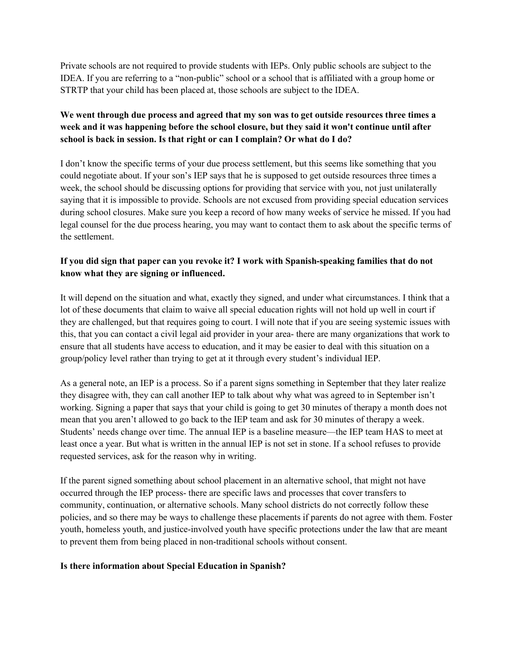Private schools are not required to provide students with IEPs. Only public schools are subject to the IDEA. If you are referring to a "non-public" school or a school that is affiliated with a group home or STRTP that your child has been placed at, those schools are subject to the IDEA.

# **We went through due process and agreed that my son was to get outside resources three times a week and it was happening before the school closure, but they said it won't continue until after school is back in session. Is that right or can I complain? Or what do I do?**

I don't know the specific terms of your due process settlement, but this seems like something that you could negotiate about. If your son's IEP says that he is supposed to get outside resources three times a week, the school should be discussing options for providing that service with you, not just unilaterally saying that it is impossible to provide. Schools are not excused from providing special education services during school closures. Make sure you keep a record of how many weeks of service he missed. If you had legal counsel for the due process hearing, you may want to contact them to ask about the specific terms of the settlement.

## **If you did sign that paper can you revoke it? I work with Spanish-speaking families that do not know what they are signing or influenced.**

It will depend on the situation and what, exactly they signed, and under what circumstances. I think that a lot of these documents that claim to waive all special education rights will not hold up well in court if they are challenged, but that requires going to court. I will note that if you are seeing systemic issues with this, that you can contact a civil legal aid provider in your area- there are many organizations that work to ensure that all students have access to education, and it may be easier to deal with this situation on a group/policy level rather than trying to get at it through every student's individual IEP.

As a general note, an IEP is a process. So if a parent signs something in September that they later realize they disagree with, they can call another IEP to talk about why what was agreed to in September isn't working. Signing a paper that says that your child is going to get 30 minutes of therapy a month does not mean that you aren't allowed to go back to the IEP team and ask for 30 minutes of therapy a week. Students' needs change over time. The annual IEP is a baseline measure—the IEP team HAS to meet at least once a year. But what is written in the annual IEP is not set in stone. If a school refuses to provide requested services, ask for the reason why in writing.

If the parent signed something about school placement in an alternative school, that might not have occurred through the IEP process- there are specific laws and processes that cover transfers to community, continuation, or alternative schools. Many school districts do not correctly follow these policies, and so there may be ways to challenge these placements if parents do not agree with them. Foster youth, homeless youth, and justice-involved youth have specific protections under the law that are meant to prevent them from being placed in non-traditional schools without consent.

#### **Is there information about Special Education in Spanish?**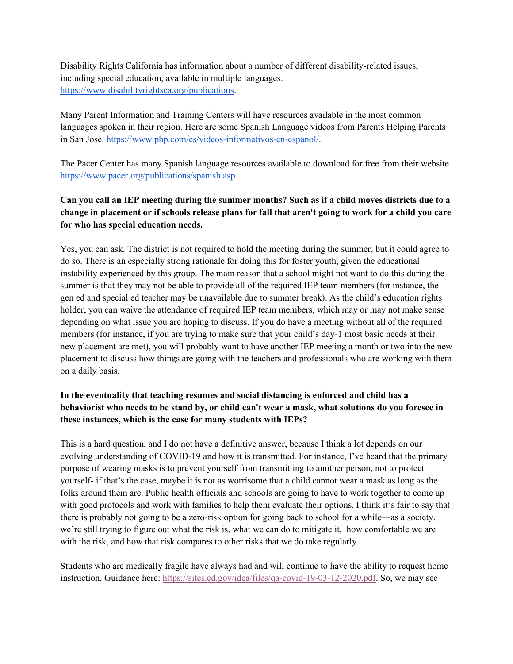Disability Rights California has information about a number of different disability-related issues, including special education, available in multiple languages. [https://www.disabilityrightsca.org/publications.](https://www.disabilityrightsca.org/publications)

Many Parent Information and Training Centers will have resources available in the most common languages spoken in their region. Here are some Spanish Language videos from Parents Helping Parents in San Jose. [https://www.php.com/es/videos-informativos-en-espanol/.](https://www.php.com/es/videos-informativos-en-espanol/)

The Pacer Center has many Spanish language resources available to download for free from their website. <https://www.pacer.org/publications/spanish.asp>

# **Can you call an IEP meeting during the summer months? Such as if a child moves districts due to a change in placement or if schools release plans for fall that aren't going to work for a child you care for who has special education needs.**

Yes, you can ask. The district is not required to hold the meeting during the summer, but it could agree to do so. There is an especially strong rationale for doing this for foster youth, given the educational instability experienced by this group. The main reason that a school might not want to do this during the summer is that they may not be able to provide all of the required IEP team members (for instance, the gen ed and special ed teacher may be unavailable due to summer break). As the child's education rights holder, you can waive the attendance of required IEP team members, which may or may not make sense depending on what issue you are hoping to discuss. If you do have a meeting without all of the required members (for instance, if you are trying to make sure that your child's day-1 most basic needs at their new placement are met), you will probably want to have another IEP meeting a month or two into the new placement to discuss how things are going with the teachers and professionals who are working with them on a daily basis.

# **In the eventuality that teaching resumes and social distancing is enforced and child has a behaviorist who needs to be stand by, or child can't wear a mask, what solutions do you foresee in these instances, which is the case for many students with IEPs?**

This is a hard question, and I do not have a definitive answer, because I think a lot depends on our evolving understanding of COVID-19 and how it is transmitted. For instance, I've heard that the primary purpose of wearing masks is to prevent yourself from transmitting to another person, not to protect yourself- if that's the case, maybe it is not as worrisome that a child cannot wear a mask as long as the folks around them are. Public health officials and schools are going to have to work together to come up with good protocols and work with families to help them evaluate their options. I think it's fair to say that there is probably not going to be a zero-risk option for going back to school for a while—as a society, we're still trying to figure out what the risk is, what we can do to mitigate it, how comfortable we are with the risk, and how that risk compares to other risks that we do take regularly.

Students who are medically fragile have always had and will continue to have the ability to request home instruction. Guidance here[:](https://sites.ed.gov/idea/files/qa-covid-19-03-12-2020.pdf) [https://sites.ed.gov/idea/files/qa-covid-19-03-12-2020.pdf.](https://sites.ed.gov/idea/files/qa-covid-19-03-12-2020.pdf) So, we may see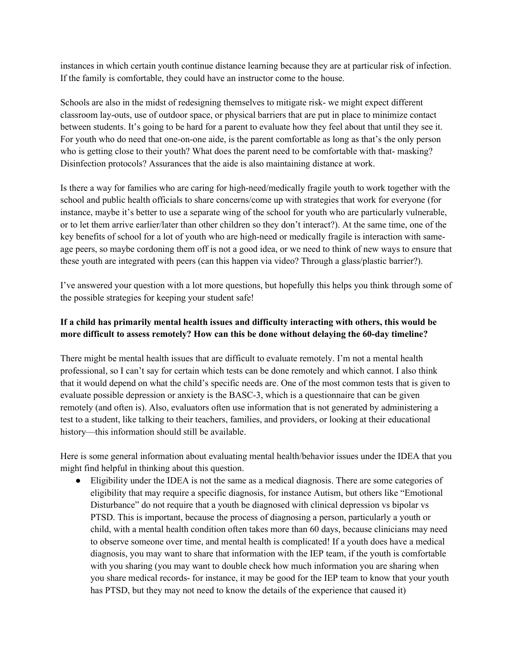instances in which certain youth continue distance learning because they are at particular risk of infection. If the family is comfortable, they could have an instructor come to the house.

Schools are also in the midst of redesigning themselves to mitigate risk- we might expect different classroom lay-outs, use of outdoor space, or physical barriers that are put in place to minimize contact between students. It's going to be hard for a parent to evaluate how they feel about that until they see it. For youth who do need that one-on-one aide, is the parent comfortable as long as that's the only person who is getting close to their youth? What does the parent need to be comfortable with that- masking? Disinfection protocols? Assurances that the aide is also maintaining distance at work.

Is there a way for families who are caring for high-need/medically fragile youth to work together with the school and public health officials to share concerns/come up with strategies that work for everyone (for instance, maybe it's better to use a separate wing of the school for youth who are particularly vulnerable, or to let them arrive earlier/later than other children so they don't interact?). At the same time, one of the key benefits of school for a lot of youth who are high-need or medically fragile is interaction with sameage peers, so maybe cordoning them off is not a good idea, or we need to think of new ways to ensure that these youth are integrated with peers (can this happen via video? Through a glass/plastic barrier?).

I've answered your question with a lot more questions, but hopefully this helps you think through some of the possible strategies for keeping your student safe!

## **If a child has primarily mental health issues and difficulty interacting with others, this would be more difficult to assess remotely? How can this be done without delaying the 60-day timeline?**

There might be mental health issues that are difficult to evaluate remotely. I'm not a mental health professional, so I can't say for certain which tests can be done remotely and which cannot. I also think that it would depend on what the child's specific needs are. One of the most common tests that is given to evaluate possible depression or anxiety is the BASC-3, which is a questionnaire that can be given remotely (and often is). Also, evaluators often use information that is not generated by administering a test to a student, like talking to their teachers, families, and providers, or looking at their educational history—this information should still be available.

Here is some general information about evaluating mental health/behavior issues under the IDEA that you might find helpful in thinking about this question.

● Eligibility under the IDEA is not the same as a medical diagnosis. There are some categories of eligibility that may require a specific diagnosis, for instance Autism, but others like "Emotional Disturbance" do not require that a youth be diagnosed with clinical depression vs bipolar vs PTSD. This is important, because the process of diagnosing a person, particularly a youth or child, with a mental health condition often takes more than 60 days, because clinicians may need to observe someone over time, and mental health is complicated! If a youth does have a medical diagnosis, you may want to share that information with the IEP team, if the youth is comfortable with you sharing (you may want to double check how much information you are sharing when you share medical records- for instance, it may be good for the IEP team to know that your youth has PTSD, but they may not need to know the details of the experience that caused it)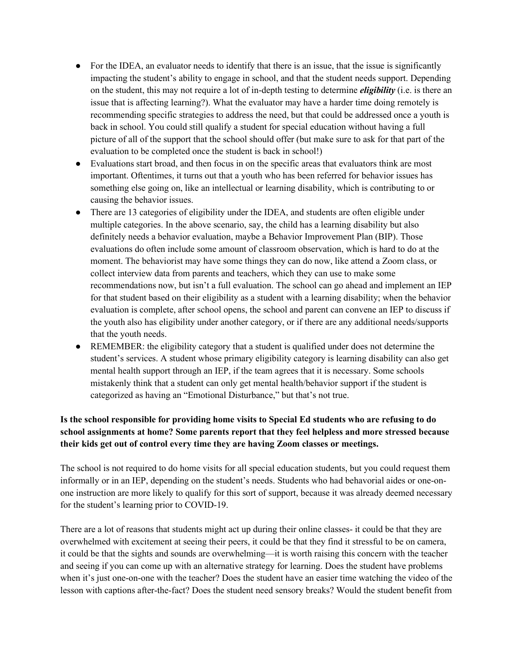- For the IDEA, an evaluator needs to identify that there is an issue, that the issue is significantly impacting the student's ability to engage in school, and that the student needs support. Depending on the student, this may not require a lot of in-depth testing to determine *eligibility* (i.e. is there an issue that is affecting learning?). What the evaluator may have a harder time doing remotely is recommending specific strategies to address the need, but that could be addressed once a youth is back in school. You could still qualify a student for special education without having a full picture of all of the support that the school should offer (but make sure to ask for that part of the evaluation to be completed once the student is back in school!)
- Evaluations start broad, and then focus in on the specific areas that evaluators think are most important. Oftentimes, it turns out that a youth who has been referred for behavior issues has something else going on, like an intellectual or learning disability, which is contributing to or causing the behavior issues.
- There are 13 categories of eligibility under the IDEA, and students are often eligible under multiple categories. In the above scenario, say, the child has a learning disability but also definitely needs a behavior evaluation, maybe a Behavior Improvement Plan (BIP). Those evaluations do often include some amount of classroom observation, which is hard to do at the moment. The behaviorist may have some things they can do now, like attend a Zoom class, or collect interview data from parents and teachers, which they can use to make some recommendations now, but isn't a full evaluation. The school can go ahead and implement an IEP for that student based on their eligibility as a student with a learning disability; when the behavior evaluation is complete, after school opens, the school and parent can convene an IEP to discuss if the youth also has eligibility under another category, or if there are any additional needs/supports that the youth needs.
- REMEMBER: the eligibility category that a student is qualified under does not determine the student's services. A student whose primary eligibility category is learning disability can also get mental health support through an IEP, if the team agrees that it is necessary. Some schools mistakenly think that a student can only get mental health/behavior support if the student is categorized as having an "Emotional Disturbance," but that's not true.

# **Is the school responsible for providing home visits to Special Ed students who are refusing to do school assignments at home? Some parents report that they feel helpless and more stressed because their kids get out of control every time they are having Zoom classes or meetings.**

The school is not required to do home visits for all special education students, but you could request them informally or in an IEP, depending on the student's needs. Students who had behavorial aides or one-onone instruction are more likely to qualify for this sort of support, because it was already deemed necessary for the student's learning prior to COVID-19.

There are a lot of reasons that students might act up during their online classes- it could be that they are overwhelmed with excitement at seeing their peers, it could be that they find it stressful to be on camera, it could be that the sights and sounds are overwhelming—it is worth raising this concern with the teacher and seeing if you can come up with an alternative strategy for learning. Does the student have problems when it's just one-on-one with the teacher? Does the student have an easier time watching the video of the lesson with captions after-the-fact? Does the student need sensory breaks? Would the student benefit from